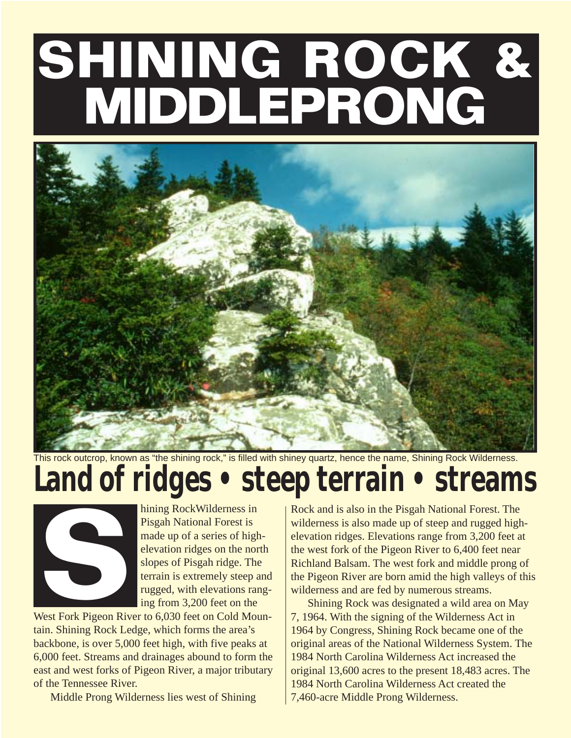# **SHINING ROCK & MIDDLEPRONG**



This rock outcrop, known as "the shining rock," is filled with shiney quartz, hence the name, Shining Rock Wilderness.

## **Land of ridges • steep terrain • streams**



hining RockWilderness in Pisgah National Forest is made up of a series of highelevation ridges on the north slopes of Pisgah ridge. The terrain is extremely steep and rugged, with elevations ranging from 3,200 feet on the

West Fork Pigeon River to 6,030 feet on Cold Mountain. Shining Rock Ledge, which forms the area's backbone, is over 5,000 feet high, with five peaks at 6,000 feet. Streams and drainages abound to form the east and west forks of Pigeon River, a major tributary of the Tennessee River.

Middle Prong Wilderness lies west of Shining

hining Rock Wilderness in<br>
Pisgah National Forest is<br>
made up of a series of high-<br>
elevation ridges. Elevations range from 3,200 feet a<br>
elevation ridges on the north<br>
slopes of Pisgah ridge. The<br>
slopes of Pisgah ridge. wilderness is also made up of steep and rugged highelevation ridges. Elevations range from 3,200 feet at the west fork of the Pigeon River to 6,400 feet near Richland Balsam. The west fork and middle prong of the Pigeon River are born amid the high valleys of this wilderness and are fed by numerous streams.

Shining Rock was designated a wild area on May 7, 1964. With the signing of the Wilderness Act in 1964 by Congress, Shining Rock became one of the original areas of the National Wilderness System. The 1984 North Carolina Wilderness Act increased the original 13,600 acres to the present 18,483 acres. The 1984 North Carolina Wilderness Act created the 7,460-acre Middle Prong Wilderness.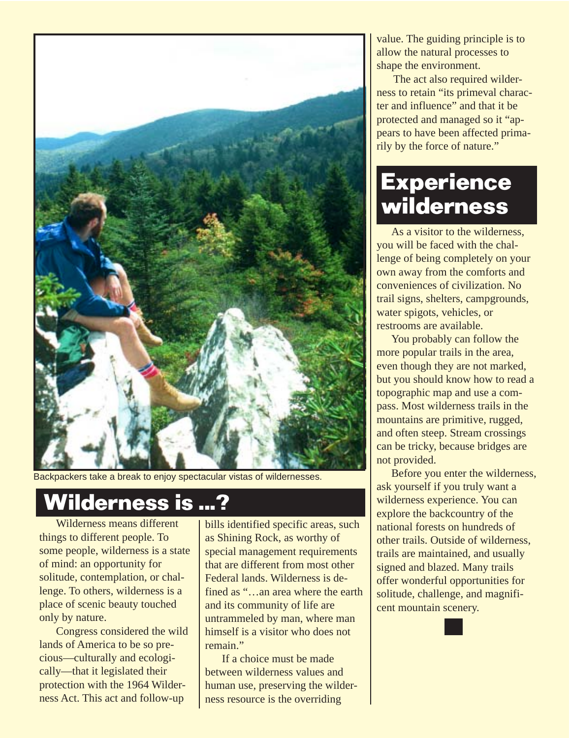

Backpackers take a break to enjoy spectacular vistas of wildernesses.

#### **Wilderness is ...?**

Wilderness means different things to different people. To some people, wilderness is a state of mind: an opportunity for solitude, contemplation, or challenge. To others, wilderness is a place of scenic beauty touched only by nature.

Congress considered the wild lands of America to be so precious—culturally and ecologically—that it legislated their protection with the 1964 Wilderness Act. This act and follow-up

bills identified specific areas, such as Shining Rock, as worthy of special management requirements that are different from most other Federal lands. Wilderness is defined as "…an area where the earth and its community of life are untrammeled by man, where man himself is a visitor who does not remain."

If a choice must be made between wilderness values and human use, preserving the wilderness resource is the overriding

value. The guiding principle is to allow the natural processes to shape the environment.

The act also required wilderness to retain "its primeval character and influence" and that it be protected and managed so it "appears to have been affected primarily by the force of nature."

#### **Experience wilderness**

As a visitor to the wilderness, you will be faced with the challenge of being completely on your own away from the comforts and conveniences of civilization. No trail signs, shelters, campgrounds, water spigots, vehicles, or restrooms are available.

You probably can follow the more popular trails in the area, even though they are not marked, but you should know how to read a topographic map and use a compass. Most wilderness trails in the mountains are primitive, rugged, and often steep. Stream crossings can be tricky, because bridges are not provided.

Before you enter the wilderness, ask yourself if you truly want a wilderness experience. You can explore the backcountry of the national forests on hundreds of other trails. Outside of wilderness, trails are maintained, and usually signed and blazed. Many trails offer wonderful opportunities for solitude, challenge, and magnificent mountain scenery.

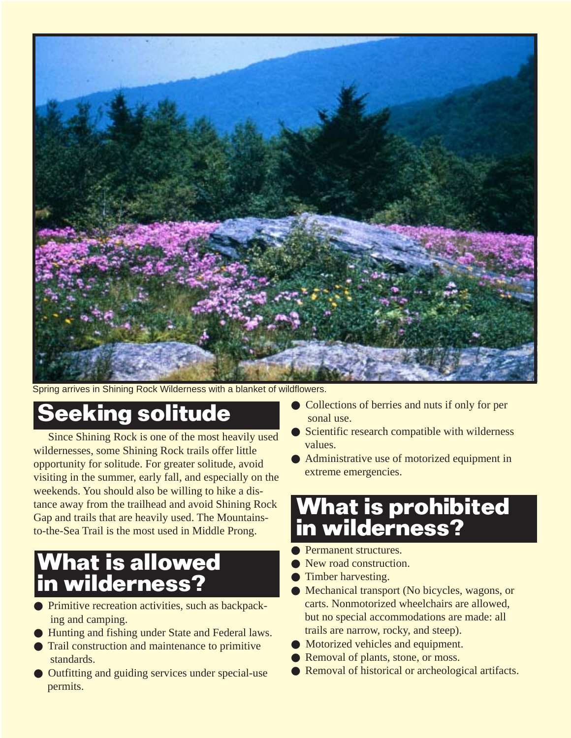

Spring arrives in Shining Rock Wilderness with a blanket of wildflowers.

#### **Seeking solitude**

Since Shining Rock is one of the most heavily used wildernesses, some Shining Rock trails offer little opportunity for solitude. For greater solitude, avoid visiting in the summer, early fall, and especially on the weekends. You should also be willing to hike a distance away from the trailhead and avoid Shining Rock Gap and trails that are heavily used. The Mountainsto-the-Sea Trail is the most used in Middle Prong.

#### **What is allowed in wilderness?**

- Primitive recreation activities, such as backpacking and camping.
- Hunting and fishing under State and Federal laws.
- Trail construction and maintenance to primitive standards.
- Outfitting and guiding services under special-use permits.
- Collections of berries and nuts if only for per sonal use.
- Scientific research compatible with wilderness values.
- Administrative use of motorized equipment in extreme emergencies.

#### **What is prohibited in wilderness?**

- Permanent structures.
- New road construction.
- Timber harvesting.
- Mechanical transport (No bicycles, wagons, or carts. Nonmotorized wheelchairs are allowed, but no special accommodations are made: all trails are narrow, rocky, and steep).
- Motorized vehicles and equipment.
- Removal of plants, stone, or moss.
- Removal of historical or archeological artifacts.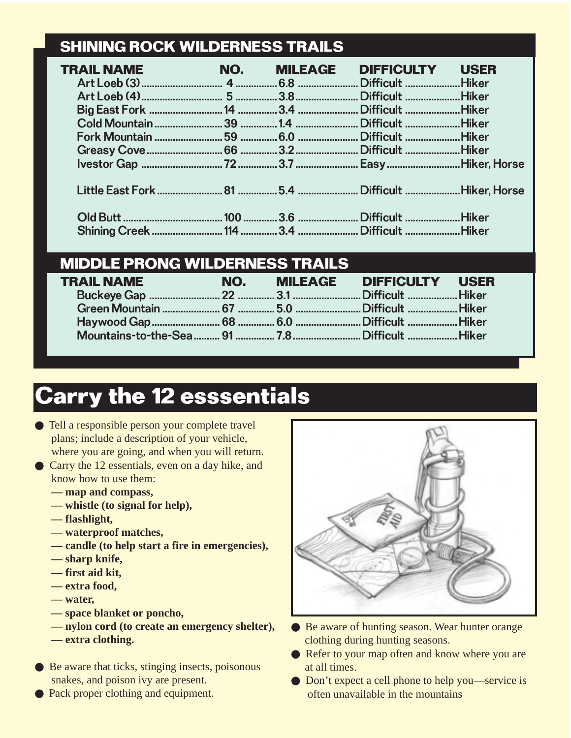#### **SHINING ROCK WILDERNESS TRAILS**

| <b>TRAIL NAME</b> |  | <b>NO. MILEAGE DIFFICULTY USER</b> |  |
|-------------------|--|------------------------------------|--|
|                   |  |                                    |  |
|                   |  |                                    |  |
|                   |  |                                    |  |
|                   |  |                                    |  |
|                   |  |                                    |  |
|                   |  |                                    |  |
|                   |  |                                    |  |
|                   |  |                                    |  |
|                   |  |                                    |  |
|                   |  |                                    |  |

#### **MIDDLE PRONG WILDERNESS TRAILS**

| TRAIL NAME |  | NO. MILEAGE DIFFICULTY USER |  |
|------------|--|-----------------------------|--|
|            |  |                             |  |
|            |  |                             |  |
|            |  |                             |  |
|            |  |                             |  |

### **Carry the 12 esssentials**

- Tell a responsible person your complete travel plans; include a description of your vehicle, where you are going, and when you will return.
- Carry the 12 essentials, even on a day hike, and know how to use them:
	- **map and compass,**
	- **whistle (to signal for help),**
	- **flashlight,**
	- **waterproof matches,**
	- **candle (to help start a fire in emergencies),**
	- **sharp knife,**
	- **first aid kit,**
	- **extra food,**
	- **water,**
	- **space blanket or poncho,**
	- **nylon cord (to create an emergency shelter),**
	- **extra clothing.**
- Be aware that ticks, stinging insects, poisonous snakes, and poison ivy are present.
- Pack proper clothing and equipment.



- Be aware of hunting season. Wear hunter orange clothing during hunting seasons.
- Refer to your map often and know where you are at all times.
- Don't expect a cell phone to help you—service is often unavailable in the mountains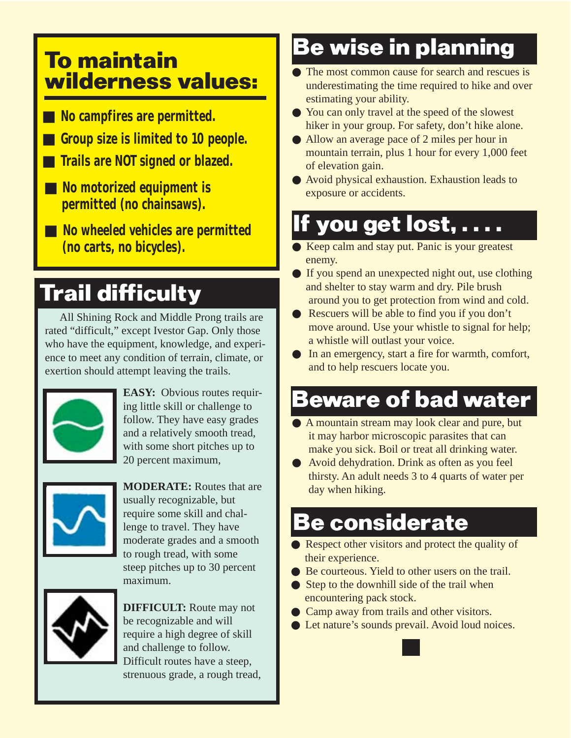#### **To maintain wilderness values:**

- No campfires are permitted.
- Group size is limited to 10 people.
- **Trails are NOT signed or blazed.**
- No motorized equipment is  **permitted (no chainsaws).**
- ■ **No wheeled vehicles are permitted (no carts, no bicycles).**

### **Trail difficulty**

All Shining Rock and Middle Prong trails are rated "difficult," except Ivestor Gap. Only those who have the equipment, knowledge, and experience to meet any condition of terrain, climate, or exertion should attempt leaving the trails.



**EASY:** Obvious routes requiring little skill or challenge to follow. They have easy grades and a relatively smooth tread, with some short pitches up to 20 percent maximum,



**MODERATE:** Routes that are usually recognizable, but require some skill and challenge to travel. They have moderate grades and a smooth to rough tread, with some steep pitches up to 30 percent maximum.



**DIFFICULT:** Route may not be recognizable and will require a high degree of skill and challenge to follow. Difficult routes have a steep, strenuous grade, a rough tread,

### **Be wise in planning**

- The most common cause for search and rescues is underestimating the time required to hike and over estimating your ability.
- You can only travel at the speed of the slowest hiker in your group. For safety, don't hike alone.
- Allow an average pace of 2 miles per hour in mountain terrain, plus 1 hour for every 1,000 feet of elevation gain.
- Avoid physical exhaustion. Exhaustion leads to exposure or accidents.

#### **If you get lost, . . . .**

- Keep calm and stay put. Panic is your greatest enemy.
- If you spend an unexpected night out, use clothing and shelter to stay warm and dry. Pile brush around you to get protection from wind and cold.
- Rescuers will be able to find you if you don't move around. Use your whistle to signal for help; a whistle will outlast your voice.
- In an emergency, start a fire for warmth, comfort, and to help rescuers locate you.

### **Beware of bad water**

- A mountain stream may look clear and pure, but it may harbor microscopic parasites that can make you sick. Boil or treat all drinking water.
- Avoid dehydration. Drink as often as you feel thirsty. An adult needs 3 to 4 quarts of water per day when hiking.

#### **Be considerate**

- Respect other visitors and protect the quality of their experience.
- Be courteous. Yield to other users on the trail.
- Step to the downhill side of the trail when encountering pack stock.
- Camp away from trails and other visitors.
- Let nature's sounds prevail. Avoid loud noices.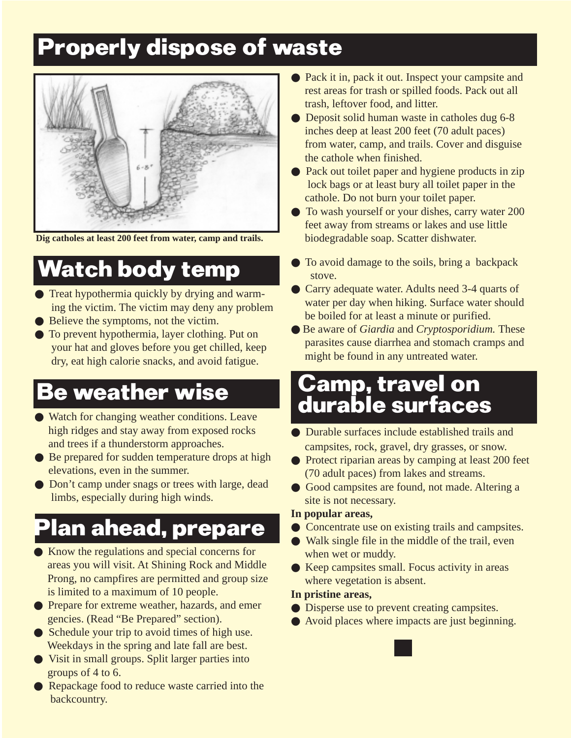#### **Properly dispose of waste**



 **Dig catholes at least 200 feet from water, camp and trails.**

### **Watch body temp**

- Treat hypothermia quickly by drying and warming the victim. The victim may deny any problem
- Believe the symptoms, not the victim.
- To prevent hypothermia, layer clothing. Put on your hat and gloves before you get chilled, keep dry, eat high calorie snacks, and avoid fatigue.

#### **Be weather wise**

- Watch for changing weather conditions. Leave high ridges and stay away from exposed rocks and trees if a thunderstorm approaches.
- Be prepared for sudden temperature drops at high elevations, even in the summer.
- Don't camp under snags or trees with large, dead limbs, especially during high winds.

### **Plan ahead, prepare**

- Know the regulations and special concerns for areas you will visit. At Shining Rock and Middle Prong, no campfires are permitted and group size is limited to a maximum of 10 people.
- Prepare for extreme weather, hazards, and emer gencies. (Read "Be Prepared" section).
- Schedule your trip to avoid times of high use. Weekdays in the spring and late fall are best.
- Visit in small groups. Split larger parties into groups of 4 to 6.
- Repackage food to reduce waste carried into the backcountry.
- Pack it in, pack it out. Inspect your campsite and rest areas for trash or spilled foods. Pack out all trash, leftover food, and litter.
- Deposit solid human waste in catholes dug 6-8 inches deep at least 200 feet (70 adult paces) from water, camp, and trails. Cover and disguise the cathole when finished.
- Pack out toilet paper and hygiene products in zip lock bags or at least bury all toilet paper in the cathole. Do not burn your toilet paper.
- To wash yourself or your dishes, carry water 200 feet away from streams or lakes and use little biodegradable soap. Scatter dishwater.
- To avoid damage to the soils, bring a backpack stove.
- Carry adequate water. Adults need 3-4 quarts of water per day when hiking. Surface water should be boiled for at least a minute or purified.
- Be aware of *Giardia* and *Cryptosporidium.* These parasites cause diarrhea and stomach cramps and might be found in any untreated water.

#### **Camp, travel on durable surfaces**

- Durable surfaces include established trails and campsites, rock, gravel, dry grasses, or snow.
- Protect riparian areas by camping at least 200 feet (70 adult paces) from lakes and streams.
- Good campsites are found, not made. Altering a site is not necessary.

#### **In popular areas,**

- Concentrate use on existing trails and campsites.
- Walk single file in the middle of the trail, even when wet or muddy.
- Keep campsites small. Focus activity in areas where vegetation is absent.

#### **In pristine areas,**

- Disperse use to prevent creating campsites.
- Avoid places where impacts are just beginning.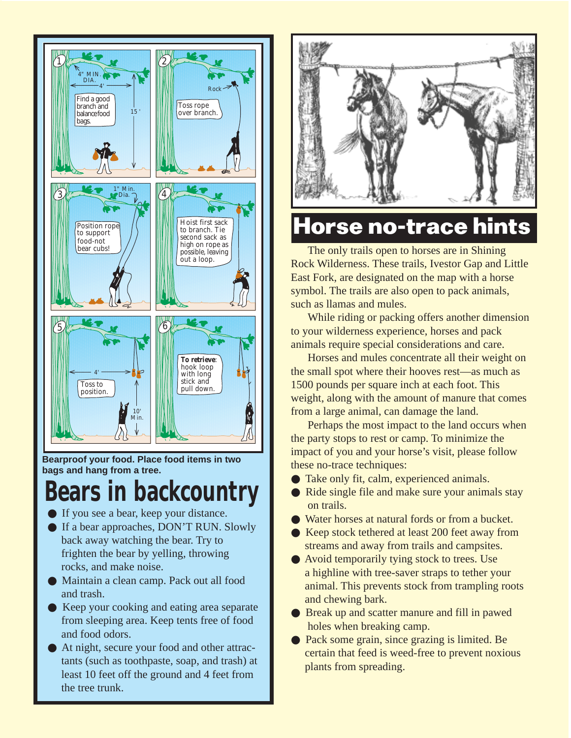

**Bearproof your food. Place food items in two bags and hang from a tree.**

#### **Bears in backcountry**

- If you see a bear, keep your distance.
- If a bear approaches, DON'T RUN. Slowly back away watching the bear. Try to frighten the bear by yelling, throwing rocks, and make noise.
- Maintain a clean camp. Pack out all food and trash.
- Keep your cooking and eating area separate from sleeping area. Keep tents free of food and food odors.
- At night, secure your food and other attrac tants (such as toothpaste, soap, and trash) at least 10 feet off the ground and 4 feet from the tree trunk.



#### **Horse no-trace hints**

The only trails open to horses are in Shining Rock Wilderness. These trails, Ivestor Gap and Little East Fork, are designated on the map with a horse symbol. The trails are also open to pack animals, such as llamas and mules.

While riding or packing offers another dimension to your wilderness experience, horses and pack animals require special considerations and care.

Horses and mules concentrate all their weight on the small spot where their hooves rest—as much as 1500 pounds per square inch at each foot. This weight, along with the amount of manure that comes from a large animal, can damage the land.

Perhaps the most impact to the land occurs when the party stops to rest or camp. To minimize the impact of you and your horse's visit, please follow these no-trace techniques:

- Take only fit, calm, experienced animals.
- Ride single file and make sure your animals stay on trails.
- Water horses at natural fords or from a bucket.
- Keep stock tethered at least 200 feet away from streams and away from trails and campsites.
- Avoid temporarily tying stock to trees. Use a highline with tree-saver straps to tether your animal. This prevents stock from trampling roots and chewing bark.
- Break up and scatter manure and fill in pawed holes when breaking camp.
- Pack some grain, since grazing is limited. Be certain that feed is weed-free to prevent noxious plants from spreading.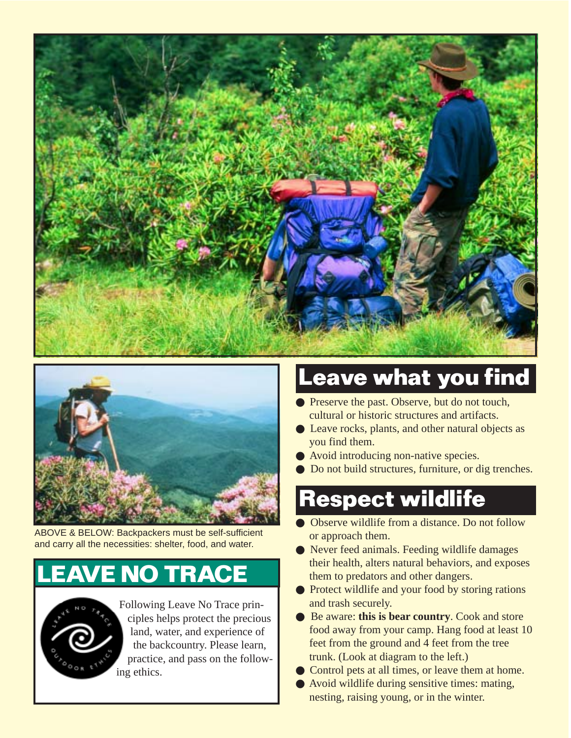



ABOVE & BELOW: Backpackers must be self-sufficient and carry all the necessities: shelter, food, and water.

#### **E NO TRACE**



 Following Leave No Trace prin ciples helps protect the precious land, water, and experience of the backcountry. Please learn, practice, and pass on the follow ing ethics.

#### **Leave what you find**

- Preserve the past. Observe, but do not touch, cultural or historic structures and artifacts.
- Leave rocks, plants, and other natural objects as you find them.
- Avoid introducing non-native species.
- Do not build structures, furniture, or dig trenches.

#### **Respect wildlife**

- Observe wildlife from a distance. Do not follow or approach them.
- Never feed animals. Feeding wildlife damages their health, alters natural behaviors, and exposes them to predators and other dangers.
- Protect wildlife and your food by storing rations and trash securely.
- Be aware: **this is bear country**. Cook and store food away from your camp. Hang food at least 10 feet from the ground and 4 feet from the tree trunk. (Look at diagram to the left.)
- Control pets at all times, or leave them at home.
- Avoid wildlife during sensitive times: mating, nesting, raising young, or in the winter.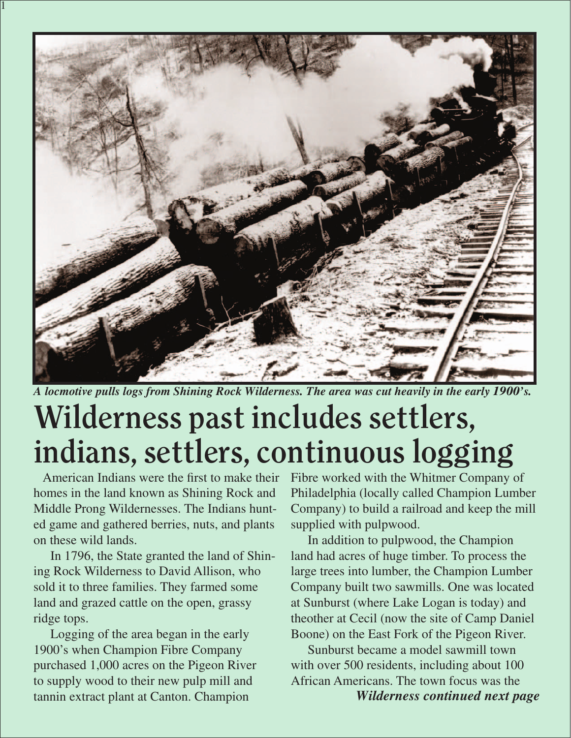

*A locmotive pulls logs from Shining Rock Wilderness. The area was cut heavily in the early 1900's.*

# **Wilderness past includes settlers, indians, settlers, continuous logging**

 American Indians were the first to make their homes in the land known as Shining Rock and Middle Prong Wildernesses. The Indians hunted game and gathered berries, nuts, and plants on these wild lands.

1

 In 1796, the State granted the land of Shining Rock Wilderness to David Allison, who sold it to three families. They farmed some land and grazed cattle on the open, grassy ridge tops.

 Logging of the area began in the early 1900's when Champion Fibre Company purchased 1,000 acres on the Pigeon River to supply wood to their new pulp mill and tannin extract plant at Canton. Champion

Fibre worked with the Whitmer Company of Philadelphia (locally called Champion Lumber Company) to build a railroad and keep the mill supplied with pulpwood.

 In addition to pulpwood, the Champion land had acres of huge timber. To process the large trees into lumber, the Champion Lumber Company built two sawmills. One was located at Sunburst (where Lake Logan is today) and theother at Cecil (now the site of Camp Daniel Boone) on the East Fork of the Pigeon River.

 Sunburst became a model sawmill town with over 500 residents, including about 100 African Americans. The town focus was the *Wilderness continued next page*